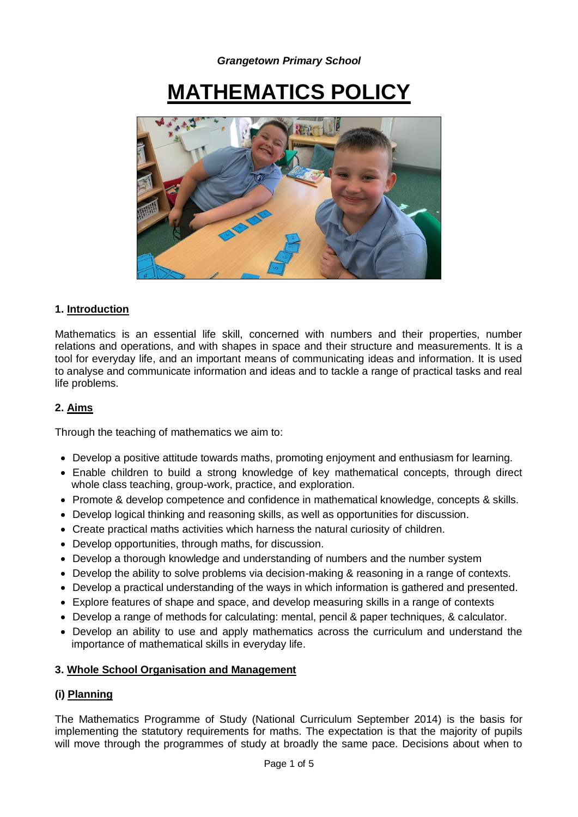# **MATHEMATICS POLICY**



# **1. Introduction**

Mathematics is an essential life skill, concerned with numbers and their properties, number relations and operations, and with shapes in space and their structure and measurements. It is a tool for everyday life, and an important means of communicating ideas and information. It is used to analyse and communicate information and ideas and to tackle a range of practical tasks and real life problems.

## **2. Aims**

Through the teaching of mathematics we aim to:

- Develop a positive attitude towards maths, promoting enjoyment and enthusiasm for learning.
- Enable children to build a strong knowledge of key mathematical concepts, through direct whole class teaching, group-work, practice, and exploration.
- Promote & develop competence and confidence in mathematical knowledge, concepts & skills.
- Develop logical thinking and reasoning skills, as well as opportunities for discussion.
- Create practical maths activities which harness the natural curiosity of children.
- Develop opportunities, through maths, for discussion.
- Develop a thorough knowledge and understanding of numbers and the number system
- Develop the ability to solve problems via decision-making & reasoning in a range of contexts.
- Develop a practical understanding of the ways in which information is gathered and presented.
- Explore features of shape and space, and develop measuring skills in a range of contexts
- Develop a range of methods for calculating: mental, pencil & paper techniques, & calculator.
- Develop an ability to use and apply mathematics across the curriculum and understand the importance of mathematical skills in everyday life.

## **3. Whole School Organisation and Management**

## **(i) Planning**

The Mathematics Programme of Study (National Curriculum September 2014) is the basis for implementing the statutory requirements for maths. The expectation is that the majority of pupils will move through the programmes of study at broadly the same pace. Decisions about when to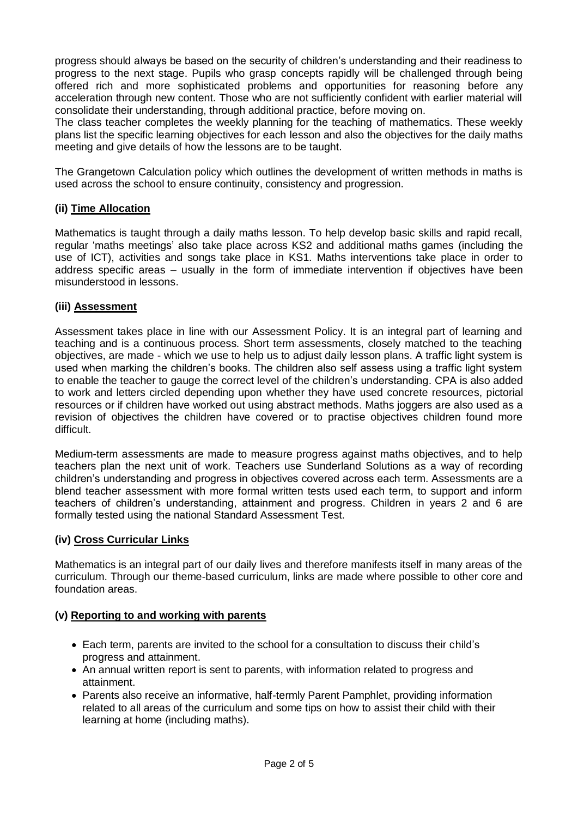progress should always be based on the security of children"s understanding and their readiness to progress to the next stage. Pupils who grasp concepts rapidly will be challenged through being offered rich and more sophisticated problems and opportunities for reasoning before any acceleration through new content. Those who are not sufficiently confident with earlier material will consolidate their understanding, through additional practice, before moving on.

The class teacher completes the weekly planning for the teaching of mathematics. These weekly plans list the specific learning objectives for each lesson and also the objectives for the daily maths meeting and give details of how the lessons are to be taught.

The Grangetown Calculation policy which outlines the development of written methods in maths is used across the school to ensure continuity, consistency and progression.

## **(ii) Time Allocation**

Mathematics is taught through a daily maths lesson. To help develop basic skills and rapid recall, regular "maths meetings" also take place across KS2 and additional maths games (including the use of ICT), activities and songs take place in KS1. Maths interventions take place in order to address specific areas – usually in the form of immediate intervention if objectives have been misunderstood in lessons.

## **(iii) Assessment**

Assessment takes place in line with our Assessment Policy. It is an integral part of learning and teaching and is a continuous process. Short term assessments, closely matched to the teaching objectives, are made - which we use to help us to adjust daily lesson plans. A traffic light system is used when marking the children"s books. The children also self assess using a traffic light system to enable the teacher to gauge the correct level of the children"s understanding. CPA is also added to work and letters circled depending upon whether they have used concrete resources, pictorial resources or if children have worked out using abstract methods. Maths joggers are also used as a revision of objectives the children have covered or to practise objectives children found more difficult.

Medium-term assessments are made to measure progress against maths objectives, and to help teachers plan the next unit of work. Teachers use Sunderland Solutions as a way of recording children"s understanding and progress in objectives covered across each term. Assessments are a blend teacher assessment with more formal written tests used each term, to support and inform teachers of children"s understanding, attainment and progress. Children in years 2 and 6 are formally tested using the national Standard Assessment Test.

# **(iv) Cross Curricular Links**

Mathematics is an integral part of our daily lives and therefore manifests itself in many areas of the curriculum. Through our theme-based curriculum, links are made where possible to other core and foundation areas.

## **(v) Reporting to and working with parents**

- Each term, parents are invited to the school for a consultation to discuss their child"s progress and attainment.
- An annual written report is sent to parents, with information related to progress and attainment.
- Parents also receive an informative, half-termly Parent Pamphlet, providing information related to all areas of the curriculum and some tips on how to assist their child with their learning at home (including maths).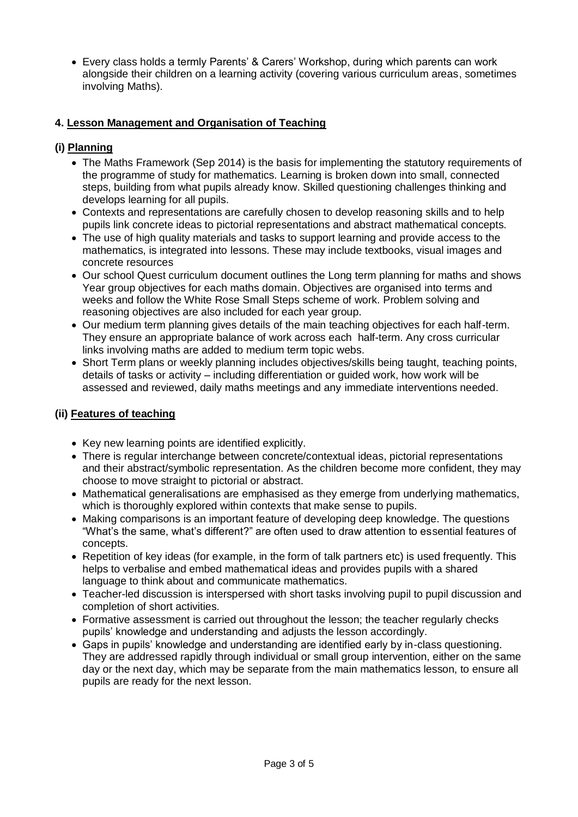Every class holds a termly Parents" & Carers" Workshop, during which parents can work alongside their children on a learning activity (covering various curriculum areas, sometimes involving Maths).

# **4. Lesson Management and Organisation of Teaching**

# **(i) Planning**

- The Maths Framework (Sep 2014) is the basis for implementing the statutory requirements of the programme of study for mathematics. Learning is broken down into small, connected steps, building from what pupils already know. Skilled questioning challenges thinking and develops learning for all pupils.
- Contexts and representations are carefully chosen to develop reasoning skills and to help pupils link concrete ideas to pictorial representations and abstract mathematical concepts.
- The use of high quality materials and tasks to support learning and provide access to the mathematics, is integrated into lessons. These may include textbooks, visual images and concrete resources
- Our school Quest curriculum document outlines the Long term planning for maths and shows Year group objectives for each maths domain. Objectives are organised into terms and weeks and follow the White Rose Small Steps scheme of work. Problem solving and reasoning objectives are also included for each year group.
- Our medium term planning gives details of the main teaching objectives for each half-term. They ensure an appropriate balance of work across each half-term. Any cross curricular links involving maths are added to medium term topic webs.
- Short Term plans or weekly planning includes objectives/skills being taught, teaching points, details of tasks or activity – including differentiation or guided work, how work will be assessed and reviewed, daily maths meetings and any immediate interventions needed.

# **(ii) Features of teaching**

- Key new learning points are identified explicitly.
- There is regular interchange between concrete/contextual ideas, pictorial representations and their abstract/symbolic representation. As the children become more confident, they may choose to move straight to pictorial or abstract.
- Mathematical generalisations are emphasised as they emerge from underlying mathematics, which is thoroughly explored within contexts that make sense to pupils.
- Making comparisons is an important feature of developing deep knowledge. The questions "What"s the same, what"s different?" are often used to draw attention to essential features of concepts.
- Repetition of key ideas (for example, in the form of talk partners etc) is used frequently. This helps to verbalise and embed mathematical ideas and provides pupils with a shared language to think about and communicate mathematics.
- Teacher-led discussion is interspersed with short tasks involving pupil to pupil discussion and completion of short activities.
- Formative assessment is carried out throughout the lesson; the teacher regularly checks pupils" knowledge and understanding and adjusts the lesson accordingly.
- Gaps in pupils" knowledge and understanding are identified early by in-class questioning. They are addressed rapidly through individual or small group intervention, either on the same day or the next day, which may be separate from the main mathematics lesson, to ensure all pupils are ready for the next lesson.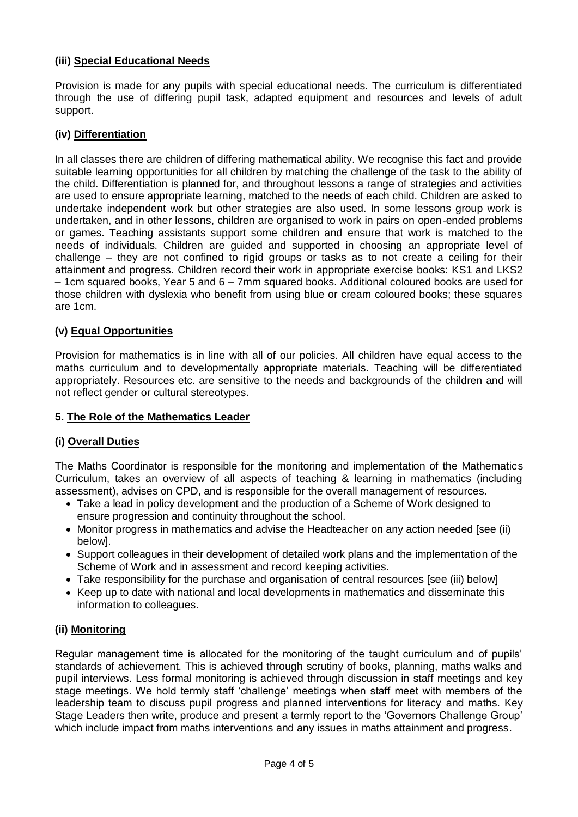## **(iii) Special Educational Needs**

Provision is made for any pupils with special educational needs. The curriculum is differentiated through the use of differing pupil task, adapted equipment and resources and levels of adult support.

## **(iv) Differentiation**

In all classes there are children of differing mathematical ability. We recognise this fact and provide suitable learning opportunities for all children by matching the challenge of the task to the ability of the child. Differentiation is planned for, and throughout lessons a range of strategies and activities are used to ensure appropriate learning, matched to the needs of each child. Children are asked to undertake independent work but other strategies are also used. In some lessons group work is undertaken, and in other lessons, children are organised to work in pairs on open-ended problems or games. Teaching assistants support some children and ensure that work is matched to the needs of individuals. Children are guided and supported in choosing an appropriate level of challenge – they are not confined to rigid groups or tasks as to not create a ceiling for their attainment and progress. Children record their work in appropriate exercise books: KS1 and LKS2 – 1cm squared books, Year 5 and 6 – 7mm squared books. Additional coloured books are used for those children with dyslexia who benefit from using blue or cream coloured books; these squares are 1cm.

## **(v) Equal Opportunities**

Provision for mathematics is in line with all of our policies. All children have equal access to the maths curriculum and to developmentally appropriate materials. Teaching will be differentiated appropriately. Resources etc. are sensitive to the needs and backgrounds of the children and will not reflect gender or cultural stereotypes.

## **5. The Role of the Mathematics Leader**

## **(i) Overall Duties**

The Maths Coordinator is responsible for the monitoring and implementation of the Mathematics Curriculum, takes an overview of all aspects of teaching & learning in mathematics (including assessment), advises on CPD, and is responsible for the overall management of resources.

- Take a lead in policy development and the production of a Scheme of Work designed to ensure progression and continuity throughout the school.
- Monitor progress in mathematics and advise the Headteacher on any action needed [see (ii)] below].
- Support colleagues in their development of detailed work plans and the implementation of the Scheme of Work and in assessment and record keeping activities.
- Take responsibility for the purchase and organisation of central resources [see (iii) below]
- Keep up to date with national and local developments in mathematics and disseminate this information to colleagues.

## **(ii) Monitoring**

Regular management time is allocated for the monitoring of the taught curriculum and of pupils' standards of achievement. This is achieved through scrutiny of books, planning, maths walks and pupil interviews. Less formal monitoring is achieved through discussion in staff meetings and key stage meetings. We hold termly staff "challenge" meetings when staff meet with members of the leadership team to discuss pupil progress and planned interventions for literacy and maths. Key Stage Leaders then write, produce and present a termly report to the "Governors Challenge Group" which include impact from maths interventions and any issues in maths attainment and progress.